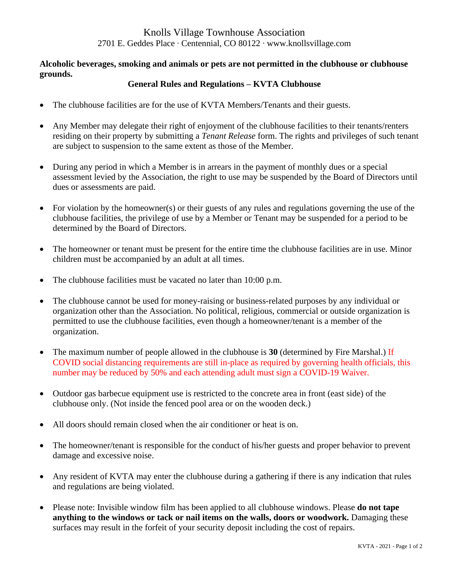# Knolls Village Townhouse Association 2701 E. Geddes Place ∙ Centennial, CO 80122 ∙ www.knollsvillage.com

## **Alcoholic beverages, smoking and animals or pets are not permitted in the clubhouse or clubhouse grounds.**

## **General Rules and Regulations – KVTA Clubhouse**

- The clubhouse facilities are for the use of KVTA Members/Tenants and their guests.
- Any Member may delegate their right of enjoyment of the clubhouse facilities to their tenants/renters residing on their property by submitting a *Tenant Release* form. The rights and privileges of such tenant are subject to suspension to the same extent as those of the Member.
- During any period in which a Member is in arrears in the payment of monthly dues or a special assessment levied by the Association, the right to use may be suspended by the Board of Directors until dues or assessments are paid.
- For violation by the homeowner(s) or their guests of any rules and regulations governing the use of the clubhouse facilities, the privilege of use by a Member or Tenant may be suspended for a period to be determined by the Board of Directors.
- The homeowner or tenant must be present for the entire time the clubhouse facilities are in use. Minor children must be accompanied by an adult at all times.
- The clubhouse facilities must be vacated no later than 10:00 p.m.
- The clubhouse cannot be used for money-raising or business-related purposes by any individual or organization other than the Association. No political, religious, commercial or outside organization is permitted to use the clubhouse facilities, even though a homeowner/tenant is a member of the organization.
- The maximum number of people allowed in the clubhouse is 30 (determined by Fire Marshal.) If COVID social distancing requirements are still in-place as required by governing health officials, this number may be reduced by 50% and each attending adult must sign a COVID-19 Waiver.
- Outdoor gas barbecue equipment use is restricted to the concrete area in front (east side) of the clubhouse only. (Not inside the fenced pool area or on the wooden deck.)
- All doors should remain closed when the air conditioner or heat is on.
- The homeowner/tenant is responsible for the conduct of his/her guests and proper behavior to prevent damage and excessive noise.
- Any resident of KVTA may enter the clubhouse during a gathering if there is any indication that rules and regulations are being violated.
- Please note: Invisible window film has been applied to all clubhouse windows. Please **do not tape anything to the windows or tack or nail items on the walls, doors or woodwork.** Damaging these surfaces may result in the forfeit of your security deposit including the cost of repairs.